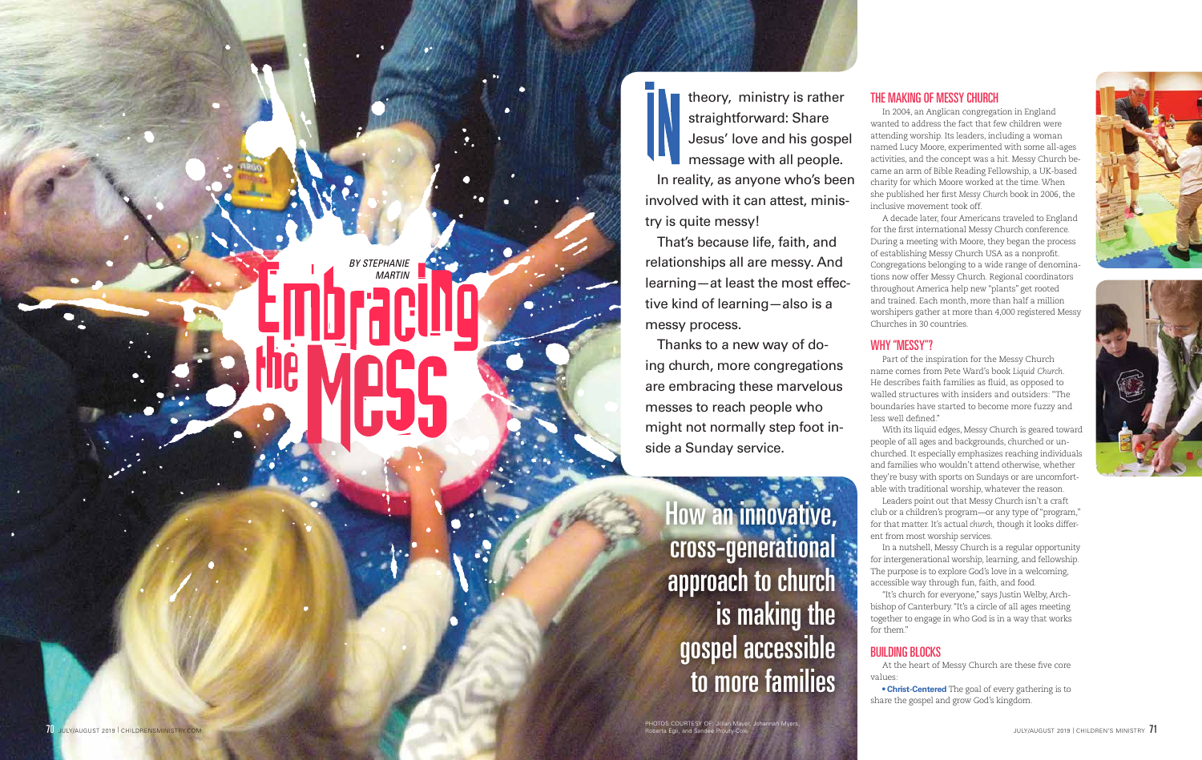*BY STEPHANIE MARTIN*

How an innovative, cross-generational approach to church is making the gospel accessible to more families

# THE MAKING OF MESSY CHURCH

In 2004, an Anglican congregation in England wanted to address the fact that few children were attending worship. Its leaders, including a woman named Lucy Moore, experimented with some all-ages activities, and the concept was a hit. Messy Church be came an arm of Bible Reading Fellowship, a UK-based charity for which Moore worked at the time. When she published her first *Messy Church* book in 2006, the inclusive movement took off.

A decade later, four Americans traveled to England for the first international Messy Church conference. During a meeting with Moore, they began the process of establishing Messy Church USA as a nonprofit. Congregations belonging to a wide range of denomina tions now offer Messy Church. Regional coordinators throughout America help new "plants" get rooted and trained. Each month, more than half a million worshipers gather at more than 4,000 registered Messy Churches in 30 countries.

#### WHY "MESSY"?

Part of the inspiration for the Messy Church name comes from Pete Ward's book *Liquid Church.* He describes faith families as fluid, as opposed to walled structures with insiders and outsiders: "The boundaries have started to become more fuzzy and less well defined."

With its liquid edges, Messy Church is geared toward people of all ages and backgrounds, churched or un churched. It especially emphasizes reaching individuals and families who wouldn't attend otherwise, whether they're busy with sports on Sundays or are uncomfort able with traditional worship, whatever the reason. Leaders point out that Messy Church isn't a craft club or a children's program—or any type of "program," for that matter. It's actual *church,* though it looks different from most worship services.

In a nutshell, Messy Church is a regular opportunity for intergenerational worship, learning, and fellowship. The purpose is to explore God's love in a welcoming, accessible way through fun, faith, and food.

"It's church for everyone," says Justin Welby, Arch bishop of Canterbury. "It's a circle of all ages meeting together to engage in who God is in a way that works for them."

## BUILDING BLOCKS

At the heart of Messy Church are these five core values:

**• Christ-Centered** The goal of every gathering is to share the gospel and grow God's kingdom.





theory, ministry is rather straightforward: Share Jesus' love and his gospel message with all people. In reality, as anyone who's been involved with it can attest, minis try is quite messy!

That's because life, faith, and relationships all are messy. And learning—at least the most effec tive kind of learning—also is a messy process.

Thanks to a new way of do ing church, more congregations are embracing these marvelous messes to reach people who might not normally step foot in side a Sunday service.

PHOTOS COURTESY OF: Jillian Mayer, Johannah Myers, Roberta Egli, and Sandee Prouty-Cole